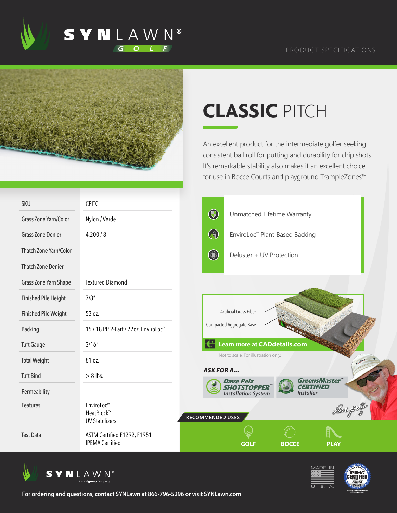





## **CLASSIC** PITCH

An excellent product for the intermediate golfer seeking consistent ball roll for putting and durability for chip shots. It's remarkable stability also makes it an excellent choice for use in Bocce Courts and playground TrampleZones™.

| <b>SKU</b>                  | <b>CPITC</b>                                          |                        |                                                  |                                      |      |  |
|-----------------------------|-------------------------------------------------------|------------------------|--------------------------------------------------|--------------------------------------|------|--|
| Grass Zone Yarn/Color       | Nylon / Verde                                         | $\bigcirc$             | Unmatched Lifetime Warranty                      |                                      |      |  |
| <b>Grass Zone Denier</b>    | 4,200/8                                               | $\bigcirc$             | EnviroLoc <sup>™</sup> Plant-Based Backing       |                                      |      |  |
| Thatch Zone Yarn/Color      |                                                       | <b>Comment</b>         | Deluster + UV Protection                         |                                      |      |  |
| <b>Thatch Zone Denier</b>   |                                                       |                        |                                                  |                                      |      |  |
| Grass Zone Yarn Shape       | <b>Textured Diamond</b>                               |                        |                                                  |                                      |      |  |
| <b>Finished Pile Height</b> | 7/8''                                                 |                        |                                                  |                                      |      |  |
| <b>Finished Pile Weight</b> | 53 oz.                                                | Artificial Grass Fiber |                                                  |                                      |      |  |
| <b>Backing</b>              | 15 / 18 PP 2-Part / 22oz. EnviroLoc <sup>™</sup>      |                        | Compacted Aggregate Base                         |                                      |      |  |
| <b>Tuft Gauge</b>           | 3/16''                                                |                        | <b>Learn more at CADdetails.com</b>              |                                      |      |  |
| <b>Total Weight</b>         | 81 oz.                                                |                        | Not to scale. For illustration only.             |                                      |      |  |
| <b>Tuft Bind</b>            | $> 8$ lbs.                                            | <b>ASK FOR A</b>       | <b>Dave Pelz</b>                                 | <b>GreensMaster</b>                  |      |  |
| Permeability                |                                                       |                        | <b>SHOTSTOPPER</b><br><b>Installation System</b> | <b>CERTIFIED</b><br><b>Installer</b> |      |  |
| Features                    | EnviroLoc™<br>HeatBlock™<br><b>UV Stabilizers</b>     | RECOMMENDED USES       |                                                  |                                      |      |  |
| <b>Test Data</b>            | ASTM Certified F1292, F1951<br><b>IPEMA Certified</b> |                        | <b>GOLI</b>                                      | <b>BOCCE</b>                         | PLAY |  |







**For ordering and questions, contact SYNLawn at 866-796-5296 or visit SYNLawn.com**